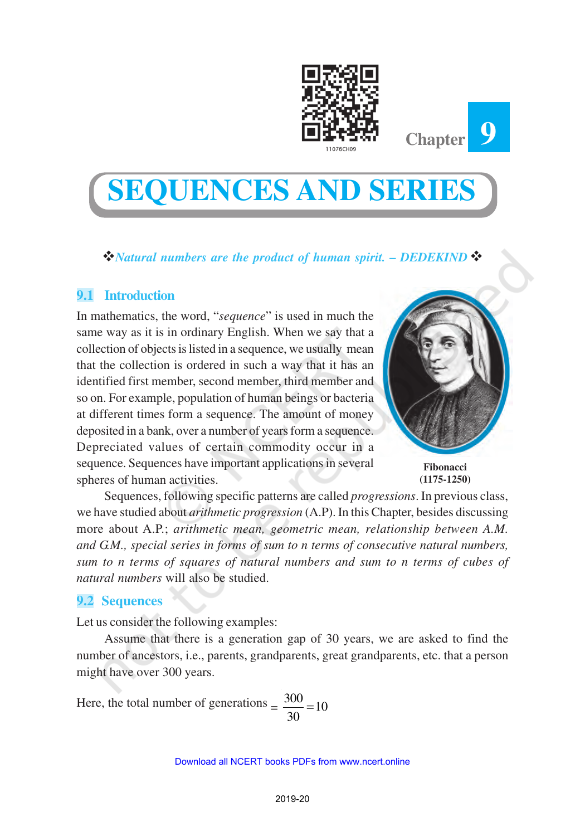



## v*Natural numbers are the product of human spirit. – DEDEKIND*v

## **9.1 Introduction**

In mathematics, the word, "*sequence*" is used in much the same way as it is in ordinary English. When we say that a collection of objects is listed in a sequence, we usually mean that the collection is ordered in such a way that it has an identified first member, second member, third member and so on. For example, population of human beings or bacteria at different times form a sequence. The amount of money deposited in a bank, over a number of years form a sequence. Depreciated values of certain commodity occur in a sequence. Sequences have important applications in several spheres of human activities.



**Chapter**

**9**

**Fibonacci (1175-1250)**

Sequences, following specific patterns are called *progressions*. In previous class, we have studied about *arithmetic progression* (A.P). In this Chapter, besides discussing more about A.P.; *arithmetic mean, geometric mean, relationship between A.M. and G.M., special series in forms of sum to n terms of consecutive natural numbers, sum to n terms of squares of natural numbers and sum to n terms of cubes of natural numbers* will also be studied.

### **9.2 Sequences**

Let us consider the following examples:

Assume that there is a generation gap of 30 years, we are asked to find the number of ancestors, i.e., parents, grandparents, great grandparents, etc. that a person might have over 300 years.

Here, the total number of generations  $=$   $\frac{300}{20}$  = 10 30 =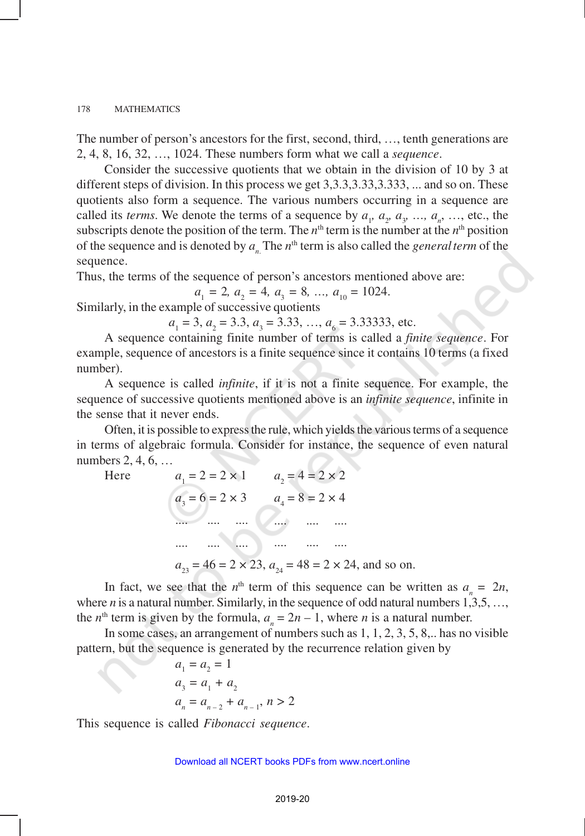The number of person's ancestors for the first, second, third, …, tenth generations are 2, 4, 8, 16, 32, …, 1024. These numbers form what we call a *sequence*.

Consider the successive quotients that we obtain in the division of 10 by 3 at different steps of division. In this process we get 3,3.3,3.33,3.333, ... and so on. These quotients also form a sequence. The various numbers occurring in a sequence are called its *terms*. We denote the terms of a sequence by  $a_1$ ,  $a_2$ ,  $a_3$ , ...,  $a_n$ , ..., etc., the subscripts denote the position of the term. The  $n<sup>th</sup>$  term is the number at the  $n<sup>th</sup>$  position of the sequence and is denoted by  $a_n$ . The  $n^{\text{th}}$  term is also called the *general term* of the sequence.

Thus, the terms of the sequence of person's ancestors mentioned above are:

 $a_1 = 2, a_2 = 4, a_3 = 8, \dots, a_{10} = 1024.$ 

Similarly, in the example of successive quotients

 $a_1 = 3, a_2 = 3.3, a_3 = 3.33, ..., a_6 = 3.33333$ , etc.

A sequence containing finite number of terms is called a *finite sequence*. For example, sequence of ancestors is a finite sequence since it contains 10 terms (a fixed number).

A sequence is called *infinite*, if it is not a finite sequence. For example, the sequence of successive quotients mentioned above is an *infinite sequence*, infinite in the sense that it never ends.

Often, it is possible to express the rule, which yields the various terms of a sequence in terms of algebraic formula. Consider for instance, the sequence of even natural numbers 2, 4, 6, …

 $Here$ 

| $a_1 = 2 = 2 \times 1$   | $a_{2} = 4 = 2 \times 2$                                               |
|--------------------------|------------------------------------------------------------------------|
| $a_{3} = 6 = 2 \times 3$ | $a_{4} = 8 = 2 \times 4$                                               |
|                          |                                                                        |
|                          |                                                                        |
|                          | $a_{23} = 46 = 2 \times 23$ , $a_{24} = 48 = 2 \times 24$ , and so on. |

In fact, we see that the  $n^{\text{th}}$  term of this sequence can be written as  $a_n = 2n$ , where  $n$  is a natural number. Similarly, in the sequence of odd natural numbers  $1,3,5, \ldots$ , the *n*<sup>th</sup> term is given by the formula,  $a_n = 2n - 1$ , where *n* is a natural number.

In some cases, an arrangement of numbers such as 1, 1, 2, 3, 5, 8,.. has no visible pattern, but the sequence is generated by the recurrence relation given by

$$
a_1 = a_2 = 1
$$
  
\n
$$
a_3 = a_1 + a_2
$$
  
\n
$$
a_n = a_{n-2} + a_{n-1}, n > 2
$$

This sequence is called *Fibonacci sequence*.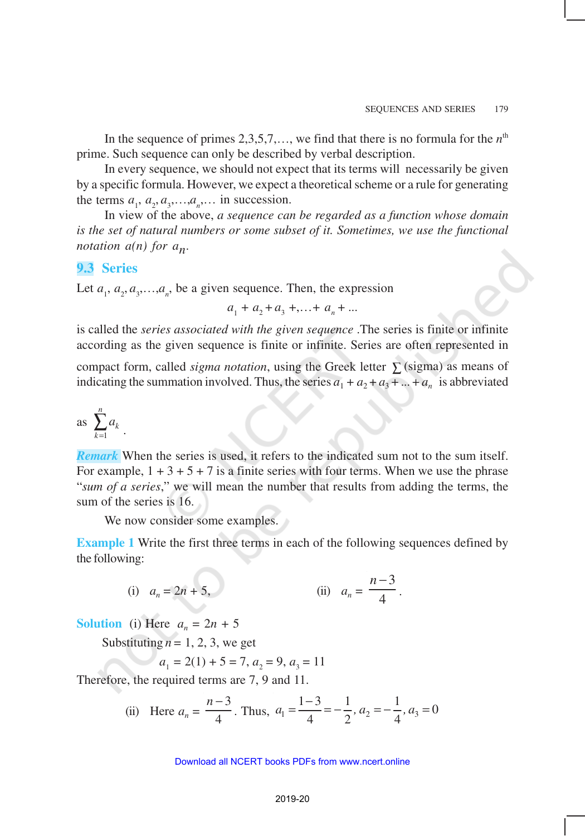In the sequence of primes  $2,3,5,7,...$ , we find that there is no formula for the  $n<sup>th</sup>$ prime. Such sequence can only be described by verbal description.

In every sequence, we should not expect that its terms will necessarily be given by a specific formula. However, we expect a theoretical scheme or a rule for generating the terms  $a_1, a_2, a_3, \ldots, a_n, \ldots$  in succession.

In view of the above, *a sequence can be regarded as a function whose domain is the set of natural numbers or some subset of it. Sometimes, we use the functional* notation a(n) for a<sub>n</sub>.

### **9.3 Series**

Let  $a_1, a_2, a_3, \ldots, a_n$ , be a given sequence. Then, the expression

 $a_1 + a_2 + a_3 + \ldots + a_n + \ldots$ 

is called the *series associated with the given sequence* .The series is finite or infinite according as the given sequence is finite or infinite. Series are often represented in

compact form, called *sigma notation*, using the Greek letter  $\sum$  (sigma) as means of indicating the summation involved. Thus, the series  $a_1 + a_2 + a_3 + ... + a_n$  is abbreviated

as 
$$
\sum_{k=1}^n a_k
$$
.

*Remark* When the series is used, it refers to the indicated sum not to the sum itself. For example,  $1 + 3 + 5 + 7$  is a finite series with four terms. When we use the phrase "*sum of a series*," we will mean the number that results from adding the terms, the sum of the series is 16.

We now consider some examples.

**Example 1** Write the first three terms in each of the following sequences defined by the following:

(i) 
$$
a_n = 2n + 5
$$
, (ii)  $a_n = \frac{n-3}{4}$ .

**Solution** (i) Here  $a_n = 2n + 5$ 

Substituting  $n = 1, 2, 3$ , we get

$$
a_1 = 2(1) + 5 = 7, a_2 = 9, a_3 = 11
$$

Therefore, the required terms are 7, 9 and 11.

(ii) Here 
$$
a_n = \frac{n-3}{4}
$$
. Thus,  $a_1 = \frac{1-3}{4} = -\frac{1}{2}$ ,  $a_2 = -\frac{1}{4}$ ,  $a_3 = 0$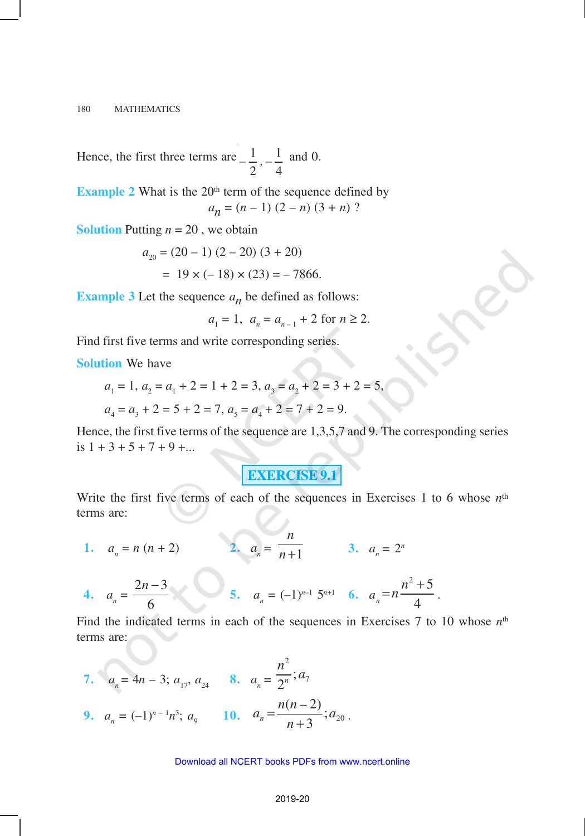Hence, the first three terms are  $\frac{1}{-}$   $\frac{1}{-}$  $2^{'}$  4  $-\frac{1}{2}$ ,  $-\frac{1}{4}$  and 0.

**Example 2** What is the  $20<sup>th</sup>$  term of the sequence defined by  $a_n = (n-1)(2-n)(3+n)$ ?

**Solution** Putting  $n = 20$ , we obtain

$$
a_{20} = (20 - 1) (2 - 20) (3 + 20)
$$
  
= 19 x (-18) x (23) = -7866.

**Example 3** Let the sequence  $a_n$  be defined as follows:

$$
a_1 = 1
$$
,  $a_n = a_{n-1} + 2$  for  $n \ge 2$ .

Find first five terms and write corresponding series.

**Solution** We have

$$
a_1 = 1, a_2 = a_1 + 2 = 1 + 2 = 3, a_3 = a_2 + 2 = 3 + 2 = 5,
$$

$$
a_4 = a_3 + 2 = 5 + 2 = 7, a_5 = a_4 + 2 = 7 + 2 = 9.
$$

Hence, the first five terms of the sequence are 1,3,5,7 and 9. The corresponding series is  $1 + 3 + 5 + 7 + 9 + \dots$ 

## **EXERCISE 9.1**

Write the first five terms of each of the sequences in Exercises 1 to 6 whose *n*th terms are:

1.  $a_n = n (n + 2)$  $= n (n + 2)$  **2.**  $a_n = \frac{n+1}{n+1}$ *n*  $\overline{n+1}$  3.  $a_n = 2^n$ 

4. 
$$
a_n = \frac{2n-3}{6}
$$
 5.  $a_n = (-1)^{n-1} 5^{n+1}$  6.  $a_n = n \frac{n^2+5}{4}$ .

Find the indicated terms in each of the sequences in Exercises 7 to 10 whose  $n<sup>th</sup>$ terms are:

7. 
$$
a_n = 4n - 3; a_{17}, a_{24}
$$
 8.  $a_n = \frac{n^2}{2^n}; a_7$   
9.  $a_n = (-1)^{n-1}n^3; a_9$  10.  $a_n = \frac{n(n-2)}{n+3}; a_{20}$ .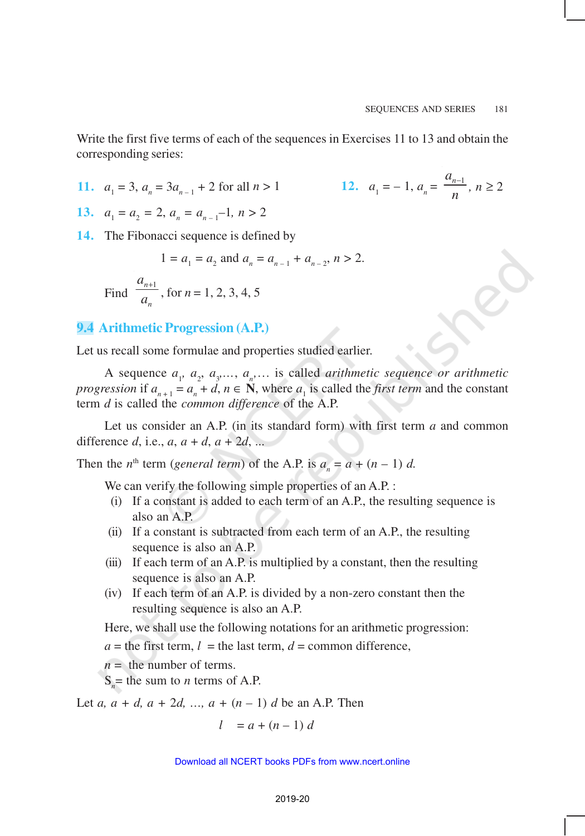Write the first five terms of each of the sequences in Exercises 11 to 13 and obtain the corresponding series:

**11.** 
$$
a_1 = 3
$$
,  $a_n = 3a_{n-1} + 2$  for all  $n > 1$    
**12.**  $a_1$ 

$$
a_1 = -1, a_n = \frac{a_{n-1}}{n}, n \ge 2
$$

**13.**  $a_1 = a_2 = 2, a_n = a_{n-1} - 1, n > 2$ 

**14.** The Fibonacci sequence is defined by

$$
1 = a_1 = a_2 \text{ and } a_n = a_{n-1} + a_{n-2}, n > 2.
$$
  
Find  $\frac{a_{n+1}}{a_n}$ , for  $n = 1, 2, 3, 4, 5$ 

## **9.4 Arithmetic Progression (A.P.)**

Let us recall some formulae and properties studied earlier.

A sequence  $a_1, a_2, a_3, \ldots, a_n, \ldots$  is called *arithmetic sequence or arithmetic progression* if  $a_{n+1} = a_n + d$ ,  $n \in \mathbb{N}$ , where  $a_1$  is called the *first term* and the constant term *d* is called the *common difference* of the A.P.

Let us consider an A.P. (in its standard form) with first term *a* and common difference *d*, i.e., *a*, *a* + *d*, *a* + 2*d*, ...

Then the *n*<sup>th</sup> term (*general term*) of the A.P. is  $a_n = a + (n - 1) d$ .

We can verify the following simple properties of an A.P. :

- (i) If a constant is added to each term of an A.P., the resulting sequence is also an A.P.
- (ii) If a constant is subtracted from each term of an A.P., the resulting sequence is also an A.P.
- (iii) If each term of an A.P. is multiplied by a constant, then the resulting sequence is also an A.P.
- (iv) If each term of an A.P. is divided by a non-zero constant then the resulting sequence is also an A.P.

Here, we shall use the following notations for an arithmetic progression:

 $a =$  the first term,  $l =$  the last term,  $d =$  common difference,

*n* = the number of terms.

 $S_n$  = the sum to *n* terms of A.P.

Let *a*,  $a + d$ ,  $a + 2d$ , ...,  $a + (n - 1) d$  be an A.P. Then

$$
l = a + (n - 1) d
$$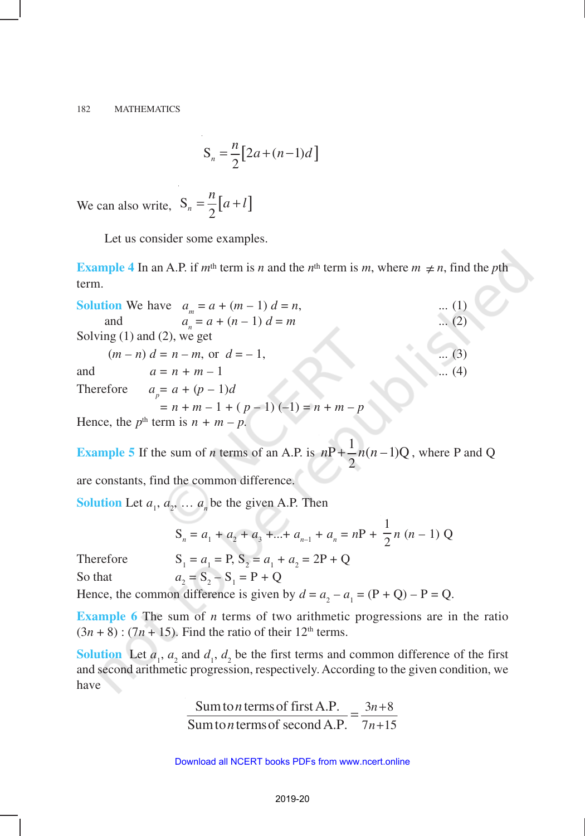$$
S_n = \frac{n}{2} \big[ 2a + (n-1)d \big]
$$

We can also write,  $S_n = \frac{n}{2} [a+l]$  $=\frac{n}{2}[a+l]$ 

Let us consider some examples.

**Example 4** In an A.P. if  $m^{\text{th}}$  term is *n* and the  $n^{\text{th}}$  term is *m*, where  $m \neq n$ , find the *p*th term.

| <b>Solution</b> We have $a_m = a + (m-1)d = n$ , | $\dots(1)$ |  |  |
|--------------------------------------------------|------------|--|--|
| $a_n = a + (n - 1) d = m$<br>and                 | $(2)$      |  |  |
| Solving $(1)$ and $(2)$ , we get                 |            |  |  |
| $(m - n) d = n - m$ , or $d = -1$ ,              | $(3)$      |  |  |
| and<br>$a = n + m - 1$                           | $(4)$      |  |  |
| Therefore<br>$a_p = a + (p - 1)d$                |            |  |  |
| $= n + m - 1 + (p - 1) (-1) = n + m - p$         |            |  |  |
| Hence, the $p^{\text{th}}$ term is $n + m - p$ . |            |  |  |

**Example 5** If the sum of *n* terms of an A.P. is  $nP + \frac{1}{2}n(n-1)Q$ 2  $nP + \frac{1}{2}n(n-1)Q$ , where P and Q

are constants, find the common difference.

**Solution** Let  $a_1$ ,  $a_2$ , ...  $a_n$  be the given A.P. Then

$$
S_n = a_1 + a_2 + a_3 + \dots + a_{n-1} + a_n = nP + \frac{1}{2}n (n-1) Q
$$

Therefore

 $= a_1 = P$ ,  $S_2 = a_1 + a_2 = 2P + Q$ So that  $a_2$  $= S_2 - S_1 = P + Q$ 

Hence, the common difference is given by  $d = a_2 - a_1 = (P + Q) - P = Q$ .

**Example 6** The sum of *n* terms of two arithmetic progressions are in the ratio  $(3n + 8)$ :  $(7n + 15)$ . Find the ratio of their 12<sup>th</sup> terms.

**Solution** Let  $a_1$ ,  $a_2$  and  $d_1$ ,  $d_2$  be the first terms and common difference of the first and second arithmetic progression, respectively. According to the given condition, we have

> Sum to *n* terms of first A.P.  $=$   $\frac{3n+8}{2}$ Sum to *n* terms of second A.P.  $7n+15$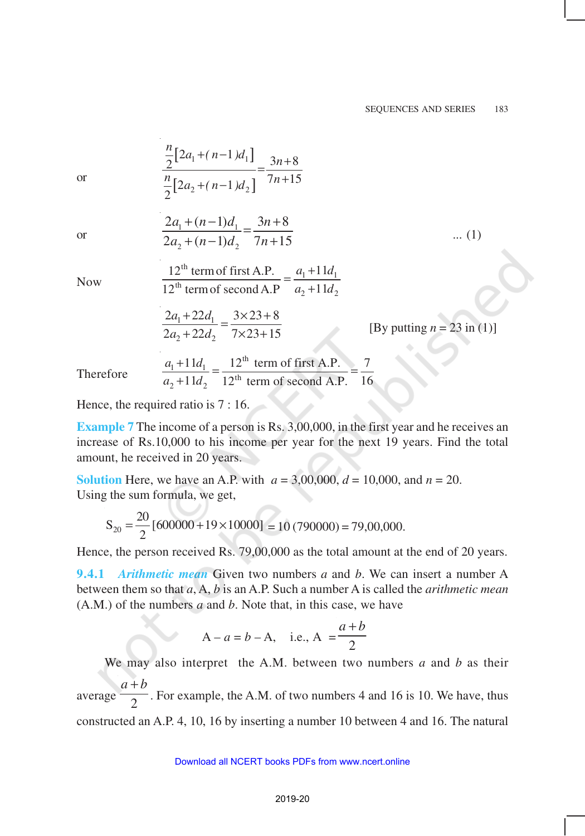or 
$$
\frac{\frac{n}{2}[2a_1 + (n-1)d_1]}{\frac{n}{2}[2a_2 + (n-1)d_2]} = \frac{3n+8}{7n+15}
$$
  
or 
$$
\frac{2a_1 + (n-1)d_1}{2a_2 + (n-1)d_2} = \frac{3n+8}{7n+15}
$$
 ... (1)  
Now 
$$
\frac{12^{\text{th}} \text{ term of first A.P.}}{12^{\text{th}} \text{ term of second A.P}} = \frac{a_1 + 11d_1}{a_2 + 11d_2}
$$

$$
\frac{2a_1 + 22d_1}{2a_2 + 22d_2} = \frac{3 \times 23 + 8}{7 \times 23 + 15}
$$
 [By putting  $n = 23$  in (1)]  
Therefore 
$$
\frac{a_1 + 11d_1}{a_2 + 11d_2} = \frac{12^{\text{th}} \text{ term of first A.P.}}{12^{\text{th}} \text{ term of second A.P.}} = \frac{7}{16}
$$

Hence, the required ratio is 7 : 16.

**Example** 7 The income of a person is Rs. 3,00,000, in the first year and he receives an increase of Rs.10,000 to his income per year for the next 19 years. Find the total amount, he received in 20 years.

**Solution** Here, we have an A.P. with  $a = 3,00,000$ ,  $d = 10,000$ , and  $n = 20$ . Using the sum formula, we get,

$$
S_{20} = \frac{20}{2} [600000 + 19 \times 10000] = 10 (790000) = 79,00,000.
$$

Hence, the person received Rs. 79,00,000 as the total amount at the end of 20 years.

**9.4.1** *Arithmetic mean* Given two numbers *a* and *b*. We can insert a number A between them so that *a*, A, *b* is an A.P. Such a number A is called the *arithmetic mean* (A.M.) of the numbers *a* and *b*. Note that, in this case, we have

$$
A - a = b - A
$$
, i.e.,  $A = \frac{a+b}{2}$ 

We may also interpret the A.M. between two numbers *a* and *b* as their average 2  $a + b$ . For example, the A.M. of two numbers 4 and 16 is 10. We have, thus constructed an A.P. 4, 10, 16 by inserting a number 10 between 4 and 16. The natural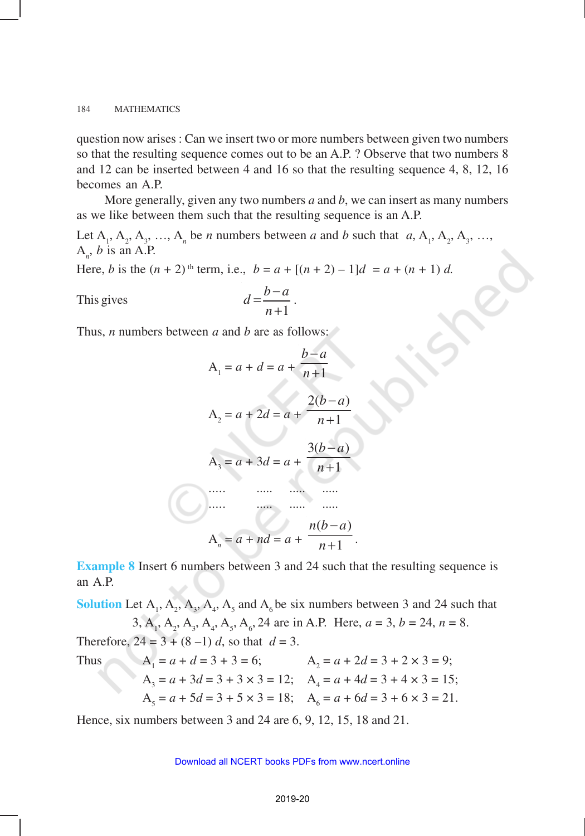question now arises : Can we insert two or more numbers between given two numbers so that the resulting sequence comes out to be an A.P. ? Observe that two numbers 8 and 12 can be inserted between 4 and 16 so that the resulting sequence 4, 8, 12, 16 becomes an A.P.

More generally, given any two numbers *a* and *b*, we can insert as many numbers as we like between them such that the resulting sequence is an A.P.

Let  $A_1$ ,  $A_2$ ,  $A_3$ , ...,  $A_n$  be *n* numbers between *a* and *b* such that  $a_1$ ,  $A_1$ ,  $A_2$ ,  $A_3$ , ...,  $A_n$ , *b* is an A.P.

Here, *b* is the  $(n + 2)$ <sup>th</sup> term, i.e.,  $b = a + [(n + 2) - 1]d = a + (n + 1) d$ .

This gives 1  $d = \frac{b-a}{a}$ *n*  $=$  $\frac{b-$ + .

Thus, *n* numbers between *a* and *b* are as follows:



**Example 8** Insert 6 numbers between 3 and 24 such that the resulting sequence is an A.P.

**Solution** Let  $A_1$ ,  $A_2$ ,  $A_3$ ,  $A_4$ ,  $A_5$  and  $A_6$  be six numbers between 3 and 24 such that 3,  $A_1$ ,  $A_2$ ,  $A_3$ ,  $A_4$ ,  $A_5$ ,  $A_6$ , 24 are in A.P. Here,  $a = 3$ ,  $b = 24$ ,  $n = 8$ .

Therefore,  $24 = 3 + (8 - 1) d$ , so that  $d = 3$ .

Thus

$$
A_1 = a + d = 3 + 3 = 6;
$$
  
\n
$$
A_2 = a + 2d = 3 + 2 \times 3 = 9;
$$
  
\n
$$
A_3 = a + 3d = 3 + 3 \times 3 = 12;
$$
  
\n
$$
A_4 = a + 4d = 3 + 4 \times 3 = 15;
$$
  
\n
$$
A_5 = a + 5d = 3 + 5 \times 3 = 18;
$$
  
\n
$$
A_6 = a + 6d = 3 + 6 \times 3 = 21.
$$

Hence, six numbers between 3 and 24 are 6, 9, 12, 15, 18 and 21.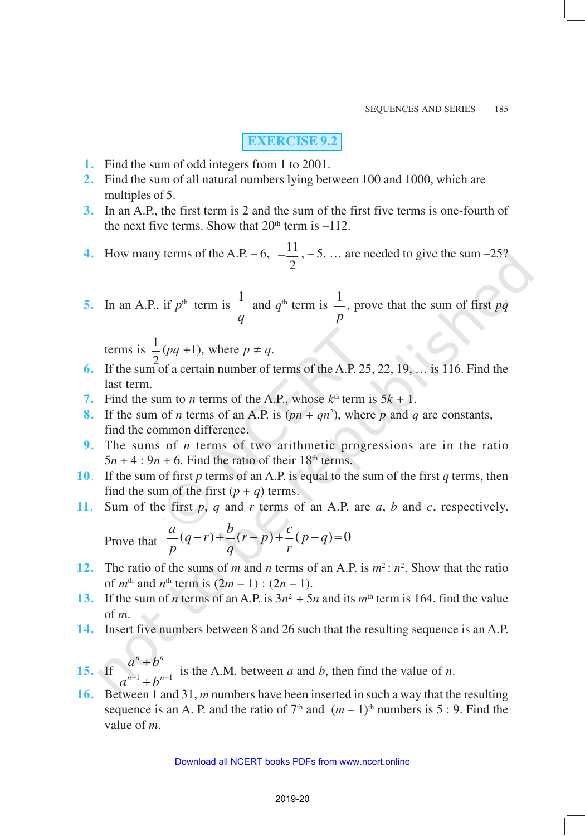# **EXERCISE 9.2**

- **1.** Find the sum of odd integers from 1 to 2001.
- **2.** Find the sum of all natural numbers lying between 100 and 1000, which are multiples of 5.
- **3.** In an A.P., the first term is 2 and the sum of the first five terms is one-fourth of the next five terms. Show that  $20<sup>th</sup>$  term is  $-112$ .
- **4.** How many terms of the A.P. 6,  $-\frac{11}{1}$ 2  $-\frac{11}{2}$ , – 5, ... are needed to give the sum –25?
- **5.** In an A.P., if  $p^{\text{th}}$  term is  $\frac{1}{n}$ *q* and  $q^{\text{th}}$  term is  $\frac{1}{1}$ *p* , prove that the sum of first *pq*

terms is  $\frac{1}{2}(pq+1)$ , where  $p \neq q$ .

- 6. If the sum of a certain number of terms of the A.P. 25, 22, 19, ... is 116. Find the last term.
- **7.** Find the sum to *n* terms of the A.P., whose  $k^{\text{th}}$  term is  $5k + 1$ .
- **8.** If the sum of *n* terms of an A.P. is  $(pn + qn^2)$ , where *p* and *q* are constants, find the common difference.
- **9.** The sums of *n* terms of two arithmetic progressions are in the ratio  $5n + 4$ :  $9n + 6$ . Find the ratio of their 18<sup>th</sup> terms.
- **10**. If the sum of first *p* terms of an A.P. is equal to the sum of the first *q* terms, then find the sum of the first  $(p + q)$  terms.
- **11**. Sum of the first *p*, *q* and *r* terms of an A.P. are *a*, *b* and *c*, respectively.

Prove that 
$$
\frac{a}{p}(q-r)+\frac{b}{q}(r-p)+\frac{c}{r}(p-q)=0
$$

- **12.** The ratio of the sums of *m* and *n* terms of an A.P. is  $m^2$ :  $n^2$ . Show that the ratio of *m*<sup>th</sup> and *n*<sup>th</sup> term is  $(2m - 1)$ :  $(2n - 1)$ .
- **13.** If the sum of *n* terms of an A.P. is  $3n^2 + 5n$  and its  $m^{\text{th}}$  term is 164, find the value of *m*.
- **14.** Insert five numbers between 8 and 26 such that the resulting sequence is an A.P.
- **15.** If  $\frac{u}{a^{n-1} + b^{n-1}}$  $n + \mathbf{h}^n$  $n-1$   $\mu$ <sup>n</sup>  $a^n + b$  $a^{n-1} + b^{n-1}$ + + is the A.M. between *a* and *b*, then find the value of *n*.
- **16.** Between 1 and 31, *m* numbers have been inserted in such a way that the resulting sequence is an A. P. and the ratio of  $7<sup>th</sup>$  and  $(m - 1)<sup>th</sup>$  numbers is 5 : 9. Find the value of *m*.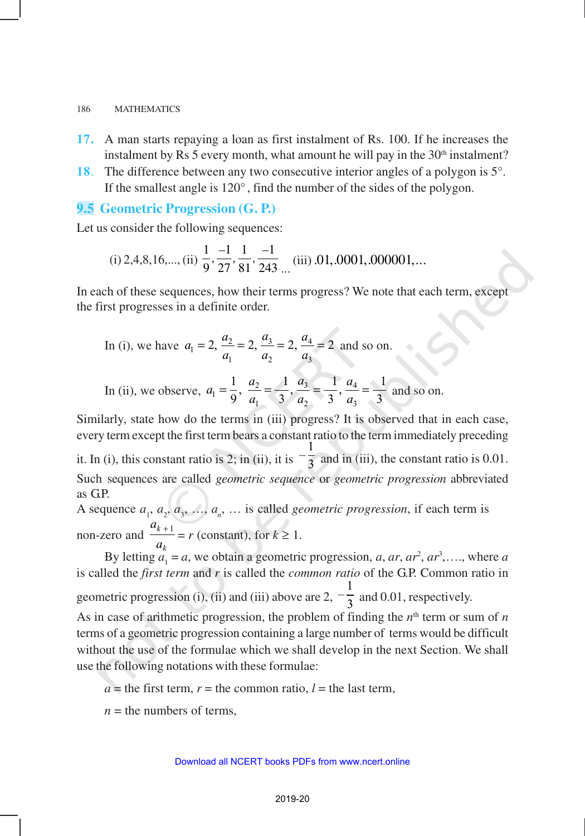- **17.** A man starts repaying a loan as first instalment of Rs. 100. If he increases the instalment by Rs 5 every month, what amount he will pay in the  $30<sup>th</sup>$  instalment?
- **18**. The difference between any two consecutive interior angles of a polygon is 5°. If the smallest angle is 120° , find the number of the sides of the polygon.

# **9.5 Geometric Progression (G. P.)**

Let us consider the following sequences:

(i) 2,4,8,16,..., (ii) 
$$
\frac{1}{9}
$$
,  $\frac{-1}{27}$ ,  $\frac{1}{81}$ ,  $\frac{-1}{243}$ ... (iii) .01, .0001, .000001,...

In each of these sequences, how their terms progress? We note that each term, except the first progresses in a definite order.

In (i), we have 
$$
a_1 = 2
$$
,  $\frac{a_2}{a_1} = 2$ ,  $\frac{a_3}{a_2} = 2$ ,  $\frac{a_4}{a_3} = 2$  and so on.

In (ii), we observe, 
$$
a_1 = \frac{1}{9}
$$
,  $\frac{a_2}{a_1} = \frac{1}{3}$ ,  $\frac{a_3}{a_2} = \frac{1}{3}$ ,  $\frac{a_4}{a_3} = \frac{1}{3}$  and so on.

Similarly, state how do the terms in (iii) progress? It is observed that in each case, every term except the first term bears a constant ratio to the term immediately preceding 1

it. In (i), this constant ratio is 2; in (ii), it is  $-\frac{1}{3}$  and in (iii), the constant ratio is 0.01. Such sequences are called *geometric sequence* or *geometric progression* abbreviated as GP.

A sequence  $a_1, a_2, a_3, \ldots, a_n, \ldots$  is called *geometric progression*, if each term is non-zero and *a a k*  $\frac{+1}{-}$  = *r* (constant), for  $k \ge 1$ .

*k* By letting  $a_1 = a$ , we obtain a geometric progression, *a*, *ar*,  $ar^2$ ,  $ar^3$ ,...., where *a* is called the *first term* and *r* is called the *common ratio* of the G.P. Common ratio in geometric progression (i), (ii) and (iii) above are 2,  $-\frac{1}{3}$  $\frac{1}{3}$  and 0.01, respectively. As in case of arithmetic progression, the problem of finding the  $n<sup>th</sup>$  term or sum of  $n$ terms of a geometric progression containing a large number of terms would be difficult without the use of the formulae which we shall develop in the next Section. We shall use the following notations with these formulae:

 $a =$  the first term,  $r =$  the common ratio,  $l =$  the last term,

 $n =$  the numbers of terms.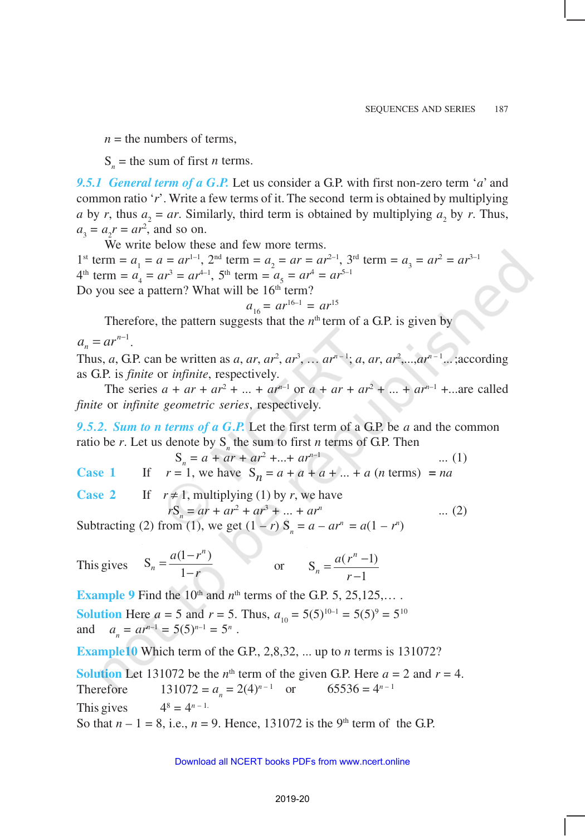$n =$  the numbers of terms,

 $S_n$  = the sum of first *n* terms.

*9.5.1 General term of a G.P.* Let us consider a G.P. with first non-zero term '*a*' and common ratio '*r*'. Write a few terms of it. The second term is obtained by multiplying *a* by *r*, thus  $a_2 = ar$ . Similarly, third term is obtained by multiplying  $a_2$  by *r*. Thus,  $a_3 = a_2 r = ar^2$ , and so on.

We write below these and few more terms.

1<sup>st</sup> term =  $a_1 = a = ar^{1-1}$ ,  $2^{nd}$  term =  $a_2 = ar = ar^{2-1}$ ,  $3^{rd}$  term =  $a_3 = ar^2 = ar^{3-1}$  $4^{\text{th}}$  term =  $a_4 = ar^3 = ar^{4-1}$ ,  $5^{\text{th}}$  term =  $a_5 = ar^4 = ar^{5-1}$ Do you see a pattern? What will be 16<sup>th</sup> term?

$$
a_{16} = ar^{16-1} = ar^{15}
$$

Therefore, the pattern suggests that the  $n<sup>th</sup>$  term of a G.P. is given by

 $a_n = ar^{n-1}$ .

Thus, *a*, G.P. can be written as *a*, *ar*, *ar*<sup>2</sup>, *ar*<sup>3</sup>, ... *ar*<sup>*n*-1</sup>; *a*, *ar*, *ar*<sup>2</sup>,...,*ar*<sup>*n*-1</sup>...;according as G.P. is *finite* or *infinite*, respectively.

The series  $a + ar + ar^2 + ... + ar^{n-1}$  or  $a + ar + ar^2 + ... + ar^{n-1} + ...$  are called *finite* or *infinite geometric series*, respectively.

*9.5.2. Sum to n terms of a G.P.* Let the first term of a G.P. be *a* and the common ratio be *r*. Let us denote by  $S<sub>n</sub>$  the sum to first *n* terms of G.P. Then

$$
S_n = a + ar + ar^2 + \dots + ar^{n-1} \tag{1}
$$

**Case 1** If  $r = 1$ , we have  $S_n = a + a + a + ... + a$  (*n* terms) = *na* 

**Case 2** If  $r \neq 1$ , multiplying (1) by *r*, we have  $rS_n = ar + ar^2 + ar^3 + ... + ar^n$ ... (2)

Subtracting (2) from (1), we get  $(1 - r) S_n = a - ar^n = a(1 - r^n)$ 

This gives 
$$
S_n = \frac{a(1 - r^n)}{1 - r}
$$
 or  $S_n = \frac{a(r^n - 1)}{r - 1}$ 

**Example 9** Find the  $10<sup>th</sup>$  and  $n<sup>th</sup>$  terms of the G.P. 5, 25,125,... **Solution** Here  $a = 5$  and  $r = 5$ . Thus,  $a_{10} = 5(5)^{10-1} = 5(5)^9 = 5^{10}$ and  $a_n = ar^{n-1} = 5(5)^{n-1} = 5^n$ .

**Example10** Which term of the G.P., 2,8,32, ... up to *n* terms is 131072?

**Solution** Let 131072 be the  $n^{\text{th}}$  term of the given G.P. Here  $a = 2$  and  $r = 4$ . Therefore  $131072 = a_n = 2(4)^{n-1}$  or  $65536 = 4^{n-1}$ This gives 4  $8^{8} = 4^{n-1}$ So that  $n - 1 = 8$ , i.e.,  $n = 9$ . Hence, 131072 is the 9<sup>th</sup> term of the G.P.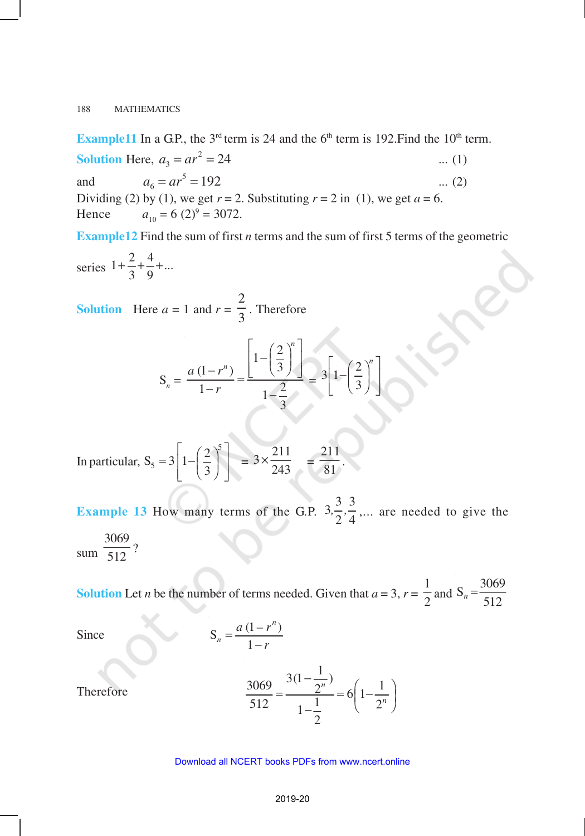**Example11** In a G.P., the  $3<sup>rd</sup>$  term is 24 and the  $6<sup>th</sup>$  term is 192. Find the  $10<sup>th</sup>$  term. **Solution** Here,  $a_3 = ar^2 = 24$  ... (1) and  $a_6 = ar^5 = 192$  ... (2) Dividing (2) by (1), we get  $r = 2$ . Substituting  $r = 2$  in (1), we get  $a = 6$ . Hence  $a_{10} = 6 (2)^9 = 3072.$ 

**Example12** Find the sum of first *n* terms and the sum of first 5 terms of the geometric

series 
$$
1 + \frac{2}{3} + \frac{4}{9} + \dots
$$

**Solution** Here  $a = 1$  and  $r =$ 2  $\frac{1}{3}$ . Therefore

$$
S_n = \frac{a(1 - r^n)}{1 - r} = \frac{\left[1 - \left(\frac{2}{3}\right)^n\right]}{1 - \frac{2}{3}} = 3\left[1 - \left(\frac{2}{3}\right)^n\right]
$$

In particular, 
$$
S_5 = 3 \left[ 1 - \left( \frac{2}{3} \right)^5 \right] = 3 \times \frac{211}{243} = \frac{211}{81}
$$
.

**Example 13** How many terms of the G.P.  $3\frac{3}{2}$ ,  $\frac{3}{4}$  $\frac{5}{2}, \frac{5}{4}, \dots$  are needed to give the sum 3069  $\frac{1}{512}$ ?

**Solution** Let *n* be the number of terms needed. Given that  $a = 3$ ,  $r =$ 1  $\frac{1}{2}$  and  $S_n = \frac{3069}{512}$ 

Therefore

Since 
$$
S_n = \frac{a(1 - r^n)}{1 - r}
$$

$$
\frac{3069}{512} = \frac{3(1 - \frac{1}{2^n})}{1 - \frac{1}{2}} = 6\left(1 - \frac{1}{2^n}\right)
$$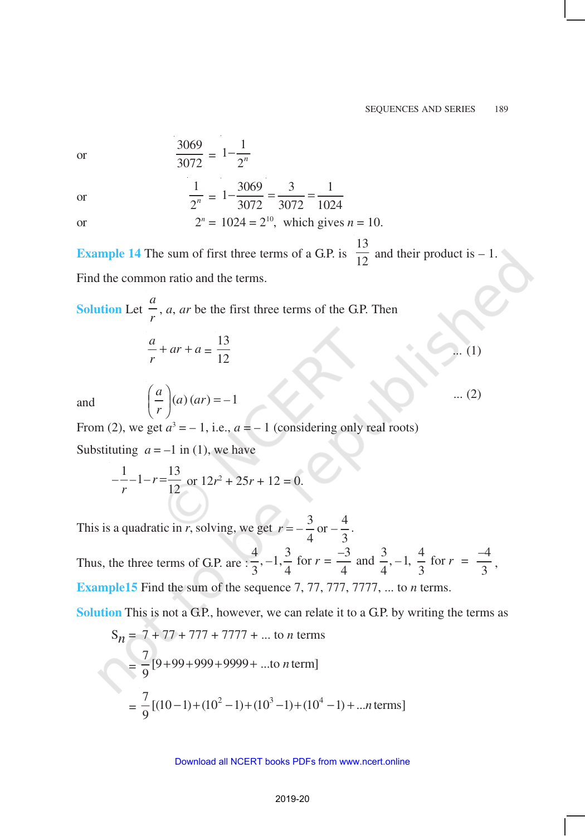or

$$
\frac{3069}{3072} = 1 - \frac{1}{2^n}
$$

or

or 
$$
\frac{1}{2^n} = 1 - \frac{3069}{3072} = \frac{3}{3072} = \frac{1}{1024}
$$
  
or 
$$
2^n = 1024 = 2^{10}, \text{ which gives } n = 10.
$$

3069

**Example 14** The sum of first three terms of a G.P. is 13  $\frac{1}{12}$  and their product is  $-1$ . Find the common ratio and the terms.

**Solution** Let *a*  $\frac{1}{r}$ , *a*, *ar* be the first three terms of the G.P. Then

$$
\frac{a}{r} + ar + a = \frac{13}{12}
$$
 ... (1)

and

$$
\left(\frac{a}{r}\right)(a)(ar) = -1 \qquad (2)
$$

From (2), we get  $a^3 = -1$ , i.e.,  $a = -1$  (considering only real roots)

Substituting  $a = -1$  in (1), we have

$$
-\frac{1}{r} - 1 - r = \frac{13}{12} \text{ or } 12r^2 + 25r + 12 = 0.
$$

This is a quadratic in *r*, solving, we get  $r = -\frac{3}{2}$  or  $-\frac{4}{3}$ 4 3  $r = -\frac{3}{4}$  or  $-\frac{7}{3}$ .

Thus, the three terms of G.P. are  $\frac{4}{2}$ ,  $-1$ ,  $\frac{3}{4}$  for  $r = \frac{-3}{4}$  and  $\frac{3}{4}$ ,  $-1$ ,  $\frac{4}{2}$  for  $r = \frac{-4}{3}$  $\frac{1}{3}$ , -1,  $\frac{5}{4}$  for  $r = \frac{3}{4}$  and  $\frac{5}{4}$ , -1,  $\frac{1}{3}$  for  $r = \frac{1}{3}$ , **Example15** Find the sum of the sequence 7, 77, 777, 7777, ... to *n* terms.

**Solution** This is not a G.P., however, we can relate it to a G.P. by writing the terms as

$$
S_n = 7 + 77 + 777 + 7777 + \dots \text{ to } n \text{ terms}
$$
  
=  $\frac{7}{9} [9 + 99 + 999 + 9999 + \dots \text{ to } n \text{ term}]$   
=  $\frac{7}{9} [(10 - 1) + (10^2 - 1) + (10^3 - 1) + (10^4 - 1) + \dots n \text{ terms}]$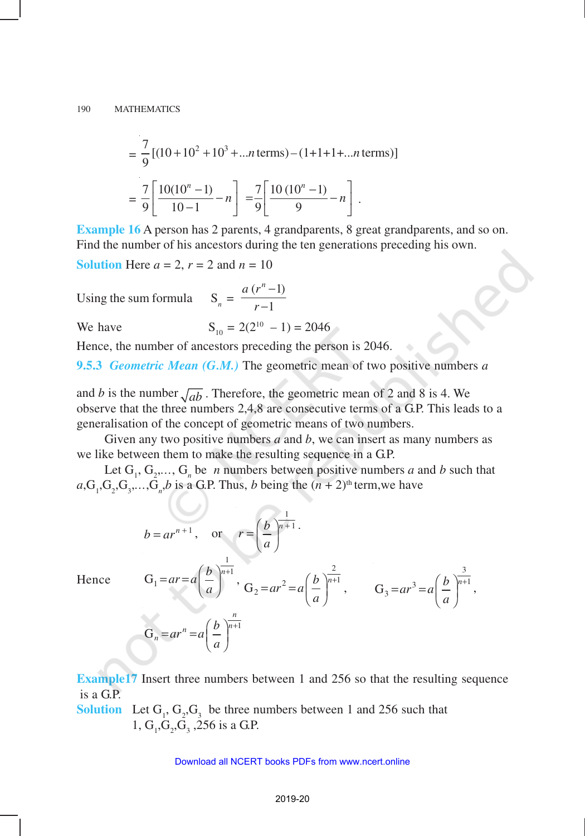$$
= \frac{7}{9} [(10+10^2+10^3+...n \text{ terms})-(1+1+1+...n \text{ terms})]
$$

$$
= \frac{7}{9} \left[ \frac{10(10^n-1)}{10-1} - n \right] = \frac{7}{9} \left[ \frac{10(10^n-1)}{9} - n \right].
$$

**Example 16** A person has 2 parents, 4 grandparents, 8 great grandparents, and so on. Find the number of his ancestors during the ten generations preceding his own.

**Solution** Here  $a = 2$ ,  $r = 2$  and  $n = 10$ 

Using the sum formula  $S_n = \frac{a(r^n - 1)}{r-1}$ 1  $a(r^n)$ *r* − −

 $b = ar^{n+1}$ , or

We have  $S_{10} = 2(2^{10} - 1) = 2046$ 

Hence, the number of ancestors preceding the person is 2046.

**9.5.3** *Geometric Mean (G.M.)* The geometric mean of two positive numbers *a*

and *b* is the number  $\sqrt{ab}$ . Therefore, the geometric mean of 2 and 8 is 4. We observe that the three numbers 2,4,8 are consecutive terms of a G.P. This leads to a generalisation of the concept of geometric means of two numbers.

Given any two positive numbers *a* and *b*, we can insert as many numbers as we like between them to make the resulting sequence in a G.P.

Let  $G_1, G_2, \ldots, G_n$  be *n* numbers between positive numbers *a* and *b* such that  $a, G_1, G_2, G_3, \ldots, G_n, b$  is a G.P. Thus, *b* being the  $(n + 2)$ <sup>th</sup> term, we have

 $r = \left(\frac{b}{n+1}\right)^{\frac{1}{n+1}}$ 

Hence

$$
b = ar^{n+1}, \text{ or } r = \left(\frac{b}{a}\right)^{n+1}.
$$
  
\n
$$
G_1 = ar = a \left(\frac{b}{a}\right)^{\frac{1}{n+1}}, \quad G_2 = ar^2 = a \left(\frac{b}{a}\right)^{\frac{2}{n+1}}, \quad G_3 = ar^3 = a \left(\frac{b}{a}\right)^{\frac{3}{n+1}},
$$
  
\n
$$
G_n = ar^n = a \left(\frac{b}{a}\right)^{\frac{n}{n+1}}
$$

**Example17** Insert three numbers between 1 and 256 so that the resulting sequence is a G.P.

**Solution** Let  $G_1$ ,  $G_2$ ,  $G_3$  be three numbers between 1 and 256 such that 1,  $G_1$ ,  $G_2$ ,  $G_3$ , 256 is a G.P.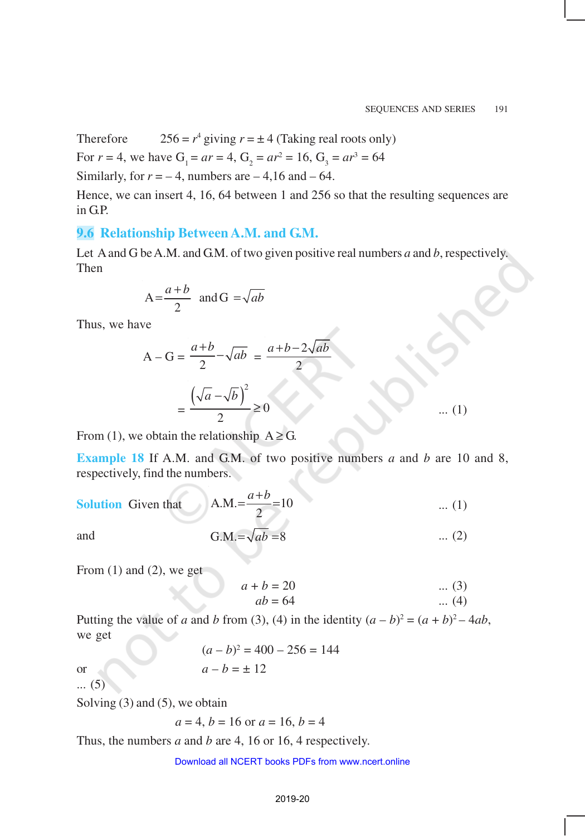Therefore <sup>4</sup> giving  $r = \pm 4$  (Taking real roots only)

For  $r = 4$ , we have  $G_1 = ar = 4$ ,  $G_2 = ar^2 = 16$ ,  $G_3 = ar^3 = 64$ 

Similarly, for  $r = -4$ , numbers are  $-4,16$  and  $-64$ .

Hence, we can insert 4, 16, 64 between 1 and 256 so that the resulting sequences are in G.P.

### **9.6 Relationship Between A.M. and G.M.**

Let A and G be A.M. and G.M. of two given positive real numbers *a* and *b*, respectively. Then

$$
A = \frac{a+b}{2} \text{ and } G = \sqrt{ab}
$$

Thus, we have

$$
A - G = \frac{a+b}{2} - \sqrt{ab} = \frac{a+b-2\sqrt{ab}}{2}
$$

$$
= \frac{(\sqrt{a} - \sqrt{b})^2}{2} \ge 0 \qquad \qquad \dots (1)
$$

From (1), we obtain the relationship  $A \ge G$ .

**Example 18** If A.M. and G.M. of two positive numbers *a* and *b* are 10 and 8, respectively, find the numbers.

**Solution** Given that 
$$
A.M. = \frac{a+b}{2} = 10
$$
 ... (1)

and G.M. =  $\sqrt{ab}$  = 8 ... (2)

From  $(1)$  and  $(2)$ , we get

$$
a + b = 20 \qquad \qquad \dots (3)
$$

$$
ab = 64 \qquad \qquad \dots (4)
$$

Putting the value of *a* and *b* from (3), (4) in the identity  $(a - b)^2 = (a + b)^2 - 4ab$ , we get

 $(a - b)^2 = 400 - 256 = 144$ or  $a - b = \pm 12$ 

... (5)

Solving (3) and (5), we obtain

$$
a = 4, b = 16
$$
 or  $a = 16, b = 4$ 

Thus, the numbers *a* and *b* are 4, 16 or 16, 4 respectively.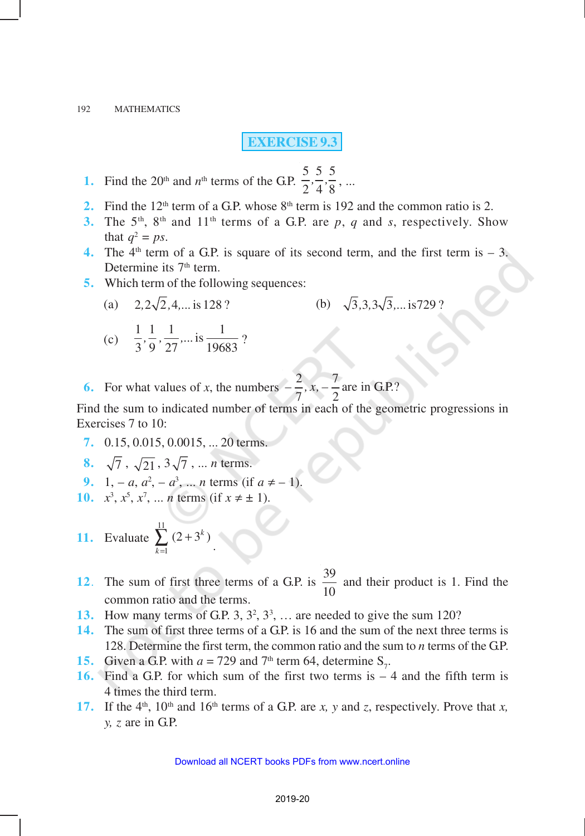**EXERCISE 9.3**

- **1.** Find the  $20<sup>th</sup>$  and  $n<sup>th</sup>$  terms of the G.P. 5 5 5  $\frac{5}{2}, \frac{5}{4}, \frac{5}{8}, \dots$
- **2.** Find the 12<sup>th</sup> term of a G.P. whose 8<sup>th</sup> term is 192 and the common ratio is 2.
- **3.** The 5<sup>th</sup>, 8<sup>th</sup> and 11<sup>th</sup> terms of a G.P. are p, q and *s*, respectively. Show that  $q^2 = ps$ .
- **4.** The  $4<sup>th</sup>$  term of a G.P. is square of its second term, and the first term is  $-3$ . Determine its 7<sup>th</sup> term.
- **5.** Which term of the following sequences:
	- (a)  $2, 2\sqrt{2}, 4, \dots$  is 128 ? <br> (b)  $\sqrt{3}, 3, 3\sqrt{3}, \dots$  is 729 ?

(c) 
$$
\frac{1}{3}, \frac{1}{9}, \frac{1}{27}, \dots
$$
 is  $\frac{1}{19683}$ ?

**6.** For what values of *x*, the numbers  $-\frac{2}{5}$ ,  $x, -\frac{7}{8}$  $7^{\prime}$  2  $-\frac{2}{7}$ , x,  $-\frac{1}{6}$  are in G.P.?

Find the sum to indicated number of terms in each of the geometric progressions in Exercises 7 to 10:

- **7.** 0.15, 0.015, 0.0015, ... 20 terms.
- **8.**  $\sqrt{7}$ ,  $\sqrt{21}$ ,  $3\sqrt{7}$ , ... *n* terms.
- **9.** 1, *a*,  $a^2$ ,  $a^3$ , ... *n* terms (if  $a \neq -1$ ).
- **10.**  $x^3$ ,  $x^5$ ,  $x^7$ , ... *n* terms (if  $x \neq \pm 1$ ).
- **11.** Evaluate 11 1  $(2+3^k)$  $\sum_{k=1}^{\infty} (2+3^k)$ .
- **12**. The sum of first three terms of a G.P. is  $\frac{39}{10}$ 10 and their product is 1. Find the common ratio and the terms.
- 13. How many terms of G.P.  $3, 3^2, 3^3, \ldots$  are needed to give the sum 120?
- **14.** The sum of first three terms of a G.P. is 16 and the sum of the next three terms is 128. Determine the first term, the common ratio and the sum to *n* terms of the GP.
- **15.** Given a G.P. with  $a = 729$  and  $7<sup>th</sup>$  term 64, determine S<sub>7</sub>.
- **16.** Find a G.P. for which sum of the first two terms is 4 and the fifth term is 4 times the third term.
- **17.** If the 4<sup>th</sup>, 10<sup>th</sup> and 16<sup>th</sup> terms of a G.P. are *x*, *y* and *z*, respectively. Prove that *x*, *y, z* are in G.P.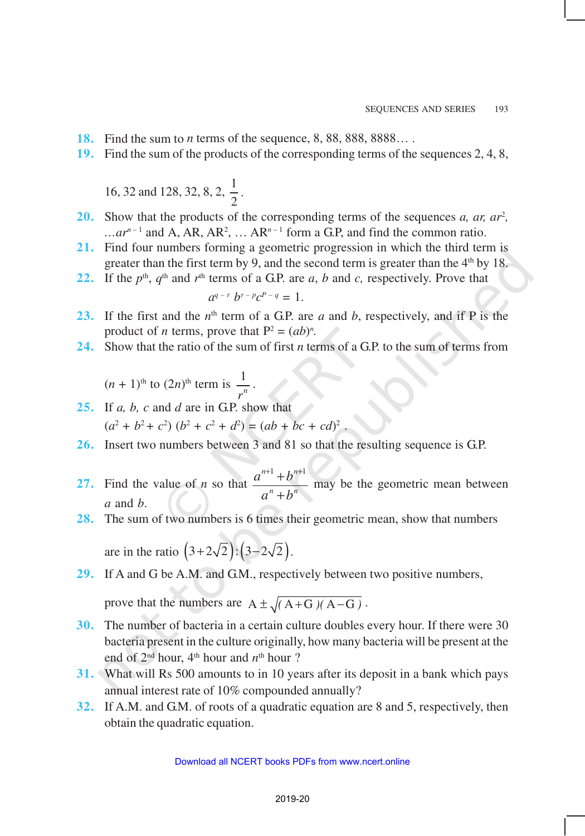- **18.** Find the sum to *n* terms of the sequence, 8, 88, 888, 8888… .
- **19.** Find the sum of the products of the corresponding terms of the sequences 2, 4, 8,

16, 32 and 128, 32, 8, 2, 
$$
\frac{1}{2}
$$
.

- **20.** Show that the products of the corresponding terms of the sequences *a, ar, ar<sup>2</sup>*,  $\ldots$ *ar*<sup>*n*-1</sup> and A, AR, AR<sup>2</sup>,  $\ldots$  AR<sup>*n*-1</sup> form a G.P, and find the common ratio.
- **21.** Find four numbers forming a geometric progression in which the third term is greater than the first term by 9, and the second term is greater than the  $4<sup>th</sup>$  by 18.
- **22.** If the  $p^{\text{th}}$ ,  $q^{\text{th}}$  and  $r^{\text{th}}$  terms of a G.P. are *a*, *b* and *c*, respectively. Prove that

$$
a^{q-r}b^{r-p}c^{p-q}=1.
$$

- **23.** If the first and the  $n^{\text{th}}$  term of a G.P. are *a* and *b*, respectively, and if P is the product of *n* terms, prove that  $P^2 = (ab)^n$ .
- **24.** Show that the ratio of the sum of first *n* terms of a G.P. to the sum of terms from

$$
(n + 1)
$$
<sup>th</sup> to  $(2n)$ <sup>th</sup> term is  $\frac{1}{r^n}$ .

- **25.** If *a, b, c* and *d* are in G.P. show that  $(a^2 + b^2 + c^2) (b^2 + c^2 + d^2) = (ab + bc + cd)^2$ .
- **26.** Insert two numbers between 3 and 81 so that the resulting sequence is G.P.
- **27.** Find the value of *n* so that  $\frac{a^{n+1} + b}{b^{n+1}}$  $a^n + b$  $n+1$ ,  $\mathbf{L}^n$  $n + h$ <sup>n</sup>  $^{+1}$  +  $b^{n+}$ +  $1 \cdot h^{n+1}$  may be the geometric mean between *a* and *b*.
- **28.** The sum of two numbers is 6 times their geometric mean, show that numbers

are in the ratio  $(3+2\sqrt{2})$ :  $(3-2\sqrt{2})$ .

**29.** If A and G be A.M. and G.M., respectively between two positive numbers,

prove that the numbers are  $A \pm \sqrt{(A+G)(A-G)}$ .

- **30.** The number of bacteria in a certain culture doubles every hour. If there were 30 bacteria present in the culture originally, how many bacteria will be present at the end of  $2<sup>nd</sup>$  hour,  $4<sup>th</sup>$  hour and  $n<sup>th</sup>$  hour ?
- **31.** What will Rs 500 amounts to in 10 years after its deposit in a bank which pays annual interest rate of 10% compounded annually?
- **32.** If A.M. and G.M. of roots of a quadratic equation are 8 and 5, respectively, then obtain the quadratic equation.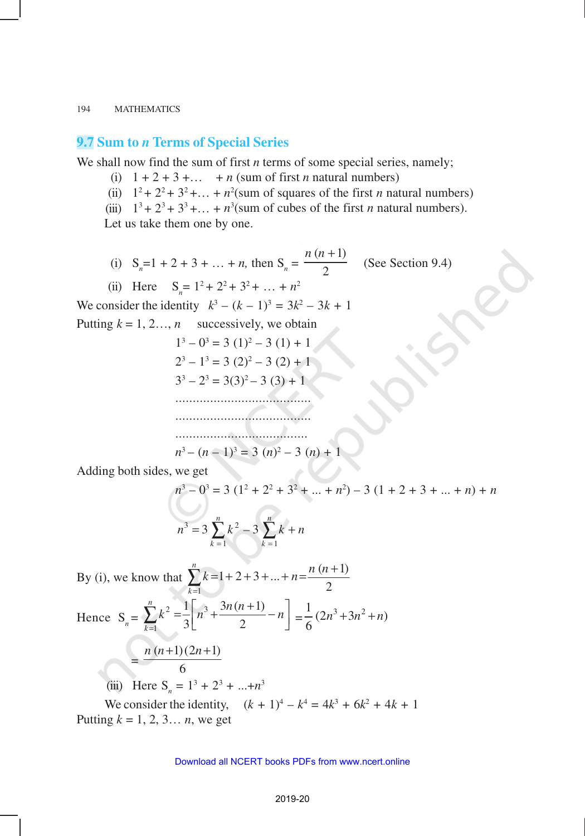### **9.7 Sum to** *n* **Terms of Special Series**

We shall now find the sum of first *n* terms of some special series, namely;

- (i)  $1 + 2 + 3 + ...$  + *n* (sum of first *n* natural numbers)
- (ii)  $1^2 + 2^2 + 3^2 + \dots + n^2$  (sum of squares of the first *n* natural numbers)
- (iii)  $1^3 + 2^3 + 3^3 + \dots + n^3$  (sum of cubes of the first *n* natural numbers).

Let us take them one by one.

(i)  $S_n = 1 + 2 + 3 + ... + n$ , then  $S_n =$  $(n+1)$ 2 *n* (*n* + (See Section 9.4)

(ii) Here  $S_n = 1^2 + 2^2 + 3^2 + ... + n^2$ 

We consider the identity  $k^3 - (k-1)^3 = 3k^2 - 3k + 1$ 

Putting  $k = 1, 2, ..., n$  successively, we obtain

 $1^3 - 0^3 = 3(1)^2 - 3(1) + 1$  $2^3 - 1^3 = 3(2)^2 - 3(2) + 1$  $3^3 - 2^3 = 3(3)^2 - 3(3) + 1$ ...................................... ....................................... ......................................

$$
n^3 - (n-1)^3 = 3 (n)^2 - 3 (n) + 1
$$

Adding both sides, we get

$$
n3 - 03 = 3 (12 + 22 + 32 + ... + n2) - 3 (1 + 2 + 3 + ... + n) + n
$$
  

$$
n3 = 3 \sum_{k=1}^{n} k2 - 3 \sum_{k=1}^{n} k + n
$$

By (i), we know that 1  $1+2+3+...+n=\frac{n(n+1)}{2}$ 2 *n k*  $k = 1 + 2 + 3 + \ldots + n = \frac{n(n+1)}{2}$ =  $\sum_{n=1}^{n} k = 1 + 2 + 3 + \ldots + n = \frac{n(n+1)}{2}$ 

Hence 
$$
S_n = \sum_{k=1}^n k^2 = \frac{1}{3} \left[ n^3 + \frac{3n(n+1)}{2} - n \right] = \frac{1}{6} (2n^3 + 3n^2 + n)
$$

$$
=\frac{n (n+1) (2n+1)}{6}
$$

(iii) Here  $S_n = 1^3 + 2^3 + ... + n^3$ 

We consider the identity,  $(k + 1)^4 - k^4 = 4k^3 + 6k^2 + 4k + 1$ Putting  $k = 1, 2, 3... n$ , we get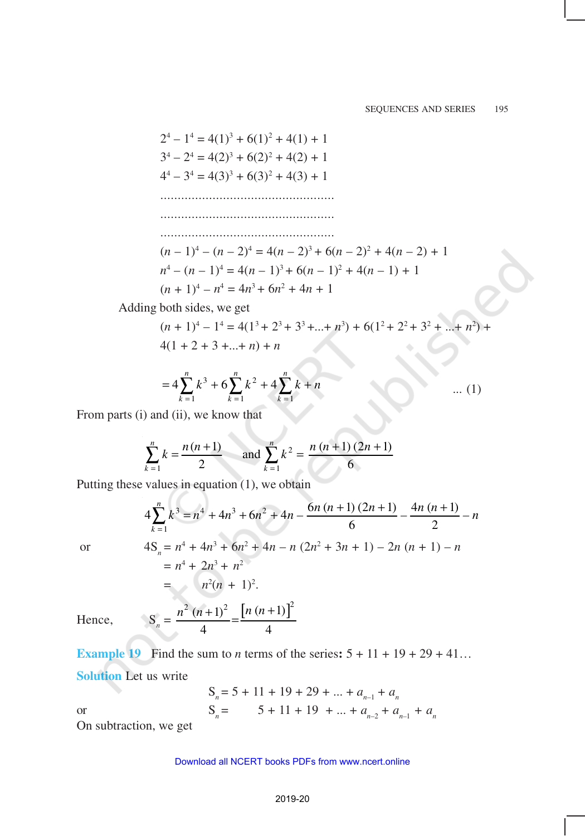$$
2^{4} - 1^{4} = 4(1)^{3} + 6(1)^{2} + 4(1) + 1
$$
  
\n
$$
3^{4} - 2^{4} = 4(2)^{3} + 6(2)^{2} + 4(2) + 1
$$
  
\n
$$
4^{4} - 3^{4} = 4(3)^{3} + 6(3)^{2} + 4(3) + 1
$$
  
\n
$$
\dots
$$
  
\n
$$
\dots
$$
  
\n
$$
(n - 1)^{4} - (n - 2)^{4} = 4(n - 2)^{3} + 6(n - 2)^{2} + 4(n - 2) + 1
$$
  
\n
$$
n^{4} - (n - 1)^{4} = 4(n - 1)^{3} + 6(n - 1)^{2} + 4(n - 1) + 1
$$
  
\n
$$
(n + 1)^{4} - n^{4} = 4n^{3} + 6n^{2} + 4n + 1
$$
  
\nAdding both sides, we get  
\n
$$
(n + 1)^{4} - 1^{4} = 4(1^{3} + 2^{3} + 3^{3} + ... + n^{3}) + 6(1^{2} + 2^{2} + 3^{2} + ... + n^{2}) + 4(1 + 2 + 3 + ... + n) + n
$$

$$
=4\sum_{k=1}^{n}k^{3}+6\sum_{k=1}^{n}k^{2}+4\sum_{k=1}^{n}k+n
$$
 ... (1)

From parts (i) and (ii), we know that

-17

$$
\sum_{k=1}^{n} k = \frac{n(n+1)}{2} \quad \text{and } \sum_{k=1}^{n} k^2 = \frac{n(n+1)(2n+1)}{6}
$$

Putting these values in equation (1), we obtain

$$
4\sum_{k=1}^{n} k^{3} = n^{4} + 4n^{3} + 6n^{2} + 4n - \frac{6n(n+1)(2n+1)}{6} - \frac{4n(n+1)}{2} - n
$$
  
or  

$$
4S_{n} = n^{4} + 4n^{3} + 6n^{2} + 4n - n(2n^{2} + 3n + 1) - 2n(n+1) - n
$$

$$
= n^{4} + 2n^{3} + n^{2}
$$

$$
= n^{2}(n + 1)^{2}.
$$
Hence,  

$$
S_{n} = \frac{n^{2}(n+1)^{2}}{4} = \frac{[n(n+1)]^{2}}{4}
$$

Hence,

**Example 19** Find the sum to *n* terms of the series:  $5 + 11 + 19 + 29 + 41...$ **Solution** Let us write

 $S_n = 5 + 11 + 19 + 29 + \dots + a_{n-1} + a_n$ or  $S_n = 5 + 11 + 19 + ... + a_{n-2} + a_{n-1} + a_n$ 

On subtraction, we get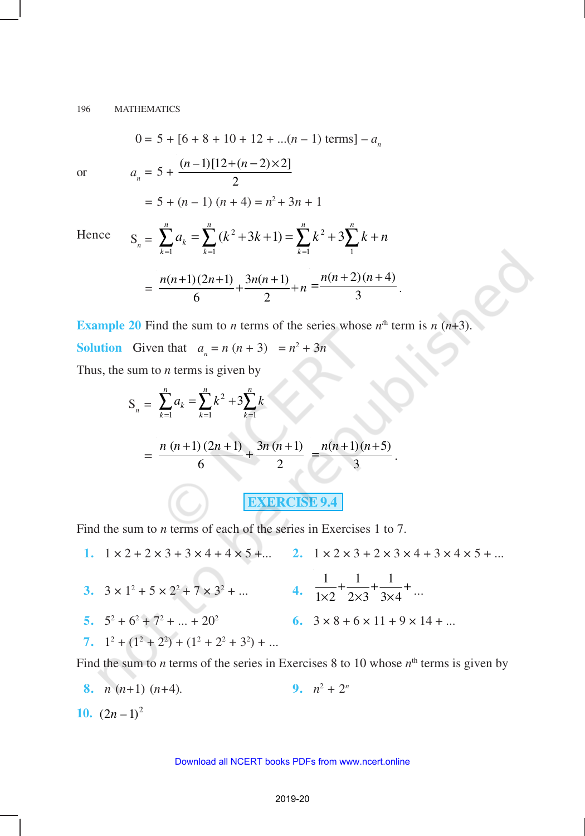$$
0 = 5 + [6 + 8 + 10 + 12 + ... (n - 1) \text{ terms}] - a_n
$$
  
or  

$$
a_n = 5 + \frac{(n - 1)[12 + (n - 2) \times 2]}{2}
$$

$$
= 5 + (n - 1)(n + 4) = n^2 + 3n + 1
$$
Hence  

$$
S_n = \sum_{n=1}^{n} a_n = \sum_{n=1}^{n} (k^2 + 3k + 1) = \sum_{n=1}^{n} k^2 + 3 \sum_{n=1}^{n} k + n
$$

Hence

$$
k=1
$$
  

$$
k=1
$$
  

$$
k=1
$$
  

$$
k=1
$$
  

$$
k=1
$$
  

$$
k=1
$$
  

$$
k=1
$$
  

$$
k=1
$$
  

$$
k=1
$$
  

$$
k=1
$$
  

$$
k=1
$$
  

$$
k=1
$$
  

$$
k=1
$$
  

$$
k=1
$$
  

$$
k=1
$$
  

$$
k=1
$$
  

$$
k=1
$$
  

$$
k=1
$$
  

$$
k=1
$$
  

$$
k=1
$$
  

$$
k=1
$$
  

$$
k=1
$$
  

$$
k=1
$$
  

$$
k=1
$$
  

$$
k=1
$$
  

$$
k=1
$$
  

$$
k=1
$$
  

$$
k=1
$$
  

$$
k=1
$$
  

$$
k=1
$$
  

$$
k=1
$$
  

$$
k=1
$$
  

$$
k=1
$$
  

$$
k=1
$$
  

$$
k=1
$$
  

$$
k=1
$$
  

$$
k=1
$$
  

$$
k=1
$$
  

$$
k=1
$$
  

$$
k=1
$$
  

$$
k=1
$$
  

$$
k=1
$$
  

$$
k=1
$$
  

$$
k=1
$$
  

$$
k=1
$$
  

$$
k=1
$$
  

$$
k=1
$$
  

$$
k=1
$$
  

$$
k=1
$$
  

$$
k=1
$$
  

$$
k=1
$$
  

$$
k=1
$$
  

$$
k=1
$$
  

$$
k=1
$$
  

$$
k=1
$$
  

$$
k=1
$$
  

$$
k=1
$$
  

$$
k=1
$$
  

$$
k=1
$$

**Example 20** Find the sum to *n* terms of the series whose  $n^{\text{th}}$  term is  $n(n+3)$ . **Solution** Given that  $a_n = n(n + 3) = n^2 + 3n$ 

Thus, the sum to *n* terms is given by

$$
S_n = \sum_{k=1}^n a_k = \sum_{k=1}^n k^2 + 3\sum_{k=1}^n k
$$
  
= 
$$
\frac{n (n+1) (2n + 1)}{6} + \frac{3n (n+1)}{2} = \frac{n(n+1)(n+5)}{3}.
$$

**EXERCISE 9.4**

Find the sum to *n* terms of each of the series in Exercises 1 to 7.

**1.**  $1 \times 2 + 2 \times 3 + 3 \times 4 + 4 \times 5 + \dots$  **2.**  $1 \times 2 \times 3 + 2 \times 3 \times 4 + 3 \times 4 \times 5 + \dots$ **3.**  $3 \times 1^2 + 5 \times 2^2 + 7 \times 3^2 + ...$  **4.**  $1 \t1 \t1$  $1 \times 2$   $2 \times 3$   $3 \times 4$  $\frac{1}{x^2} + \frac{1}{2x^3} + \frac{1}{3x^4} + \dots$ 5.  $5^2 + 6^2 + 7^2$ 6.  $3 \times 8 + 6 \times 11 + 9 \times 14 + ...$ 7.  $1^2 + (1^2 + 2^2) + (1^2 + 2^2 + 3^2) + ...$ 

Find the sum to *n* terms of the series in Exercises 8 to 10 whose  $n<sup>th</sup>$  terms is given by

**8.**  $n(n+1)(n+4)$ .  $2^{2} + 2^{n}$ 

10.  $(2n-1)^2$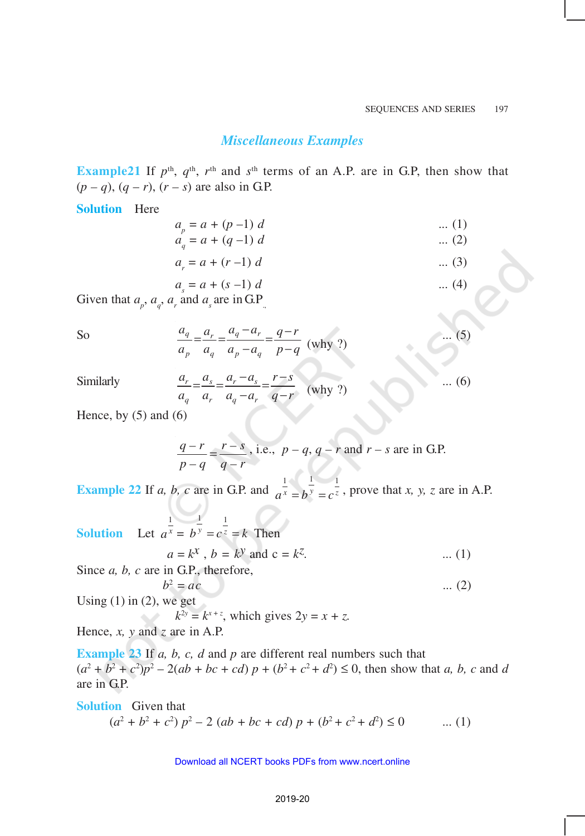### *Miscellaneous Examples*

**Example21** If  $p^{\text{th}}$ ,  $q^{\text{th}}$ ,  $r^{\text{th}}$  and  $s^{\text{th}}$  terms of an A.P. are in G.P, then show that  $(p - q)$ ,  $(q - r)$ ,  $(r - s)$  are also in G.P.

#### **Solution** Here

$$
a_p = a + (p - 1) d \qquad \qquad \dots (1)
$$
  
\n
$$
a_q = a + (q - 1) d \qquad \qquad \dots (2)
$$

$$
a_r = a + (r - 1) d \tag{3}
$$

$$
a_s = a + (s - 1) d \tag{4}
$$

Given that  $a_p$ ,  $a_q$ ,  $a_r$  and  $a_s$  are in G.P<sub>.,</sub>

So 
$$
\frac{a_q}{a_p} = \frac{a_r}{a_q} = \frac{a_q - a_r}{a_p - a_q} = \frac{q - r}{p - q} \text{ (why ?)}
$$
 (5)

 $Similarly$ 

$$
\frac{a_r}{a_q} = \frac{a_s}{a_r} = \frac{a_r - a_s}{a_q - a_r} = \frac{r - s}{q - r}
$$
 (why ?) ... (6)

Hence, by  $(5)$  and  $(6)$ 

$$
\frac{q-r}{p-q} = \frac{r-s}{q-r}
$$
, i.e.,  $p-q$ ,  $q-r$  and  $r-s$  are in G.P.

**Example 22** If *a, b, c* are in G.P. and  $\frac{1}{a^x} = b^y = c^{\frac{1}{z}}$ , prove that *x, y, z* are in A.P.

**Solution** 1  $a^x =$  $\frac{1}{2}$  1  $b^y = c^z = k$  Then

$$
a = k^x
$$
,  $b = k^y$  and  $c = k^z$ . (1)

Since *a, b, c* are in G.P., therefore,  $b^2$ 

$$
= ac \qquad \qquad \dots (2)
$$

Using  $(1)$  in  $(2)$ , we get

 $k^{2y} = k^{x+z}$ , which gives  $2y = x + z$ .

Hence, *x, y* and *z* are in A.P.

**Example 23** If *a, b, c, d* and *p* are different real numbers such that  $(a^2 + b^2 + c^2)p^2 - 2(ab + bc + cd) p + (b^2 + c^2 + d^2) \le 0$ , then show that *a*, *b*, *c* and *d* are in G.P.

**Solution** Given that  $(a^2 + b^2 + c^2) p^2 - 2 (ab + bc + cd) p + (b^2 + c^2 + d^2)$  $\dots (1)$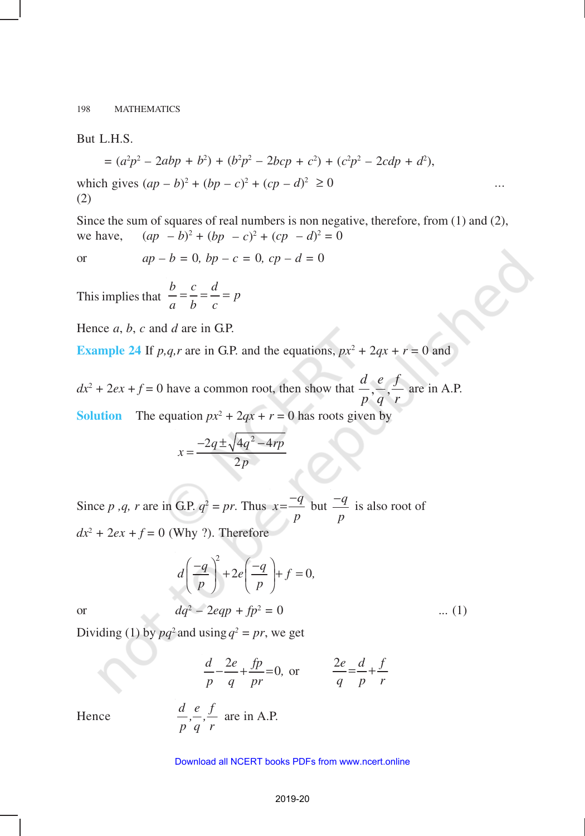But L.H.S.

$$
= (a^{2}p^{2} - 2abp + b^{2}) + (b^{2}p^{2} - 2bcp + c^{2}) + (c^{2}p^{2} - 2cdp + d^{2}),
$$
  
which gives  $(ap - b)^{2} + (bp - c)^{2} + (cp - d)^{2} \ge 0$  ...  
(2)

Since the sum of squares of real numbers is non negative, therefore, from (1) and (2), we have,  $(ap - b)^2 + (bp - c)^2 + (cp - d)^2 = 0$ 

or  $ap - b = 0$ ,  $bp - c = 0$ ,  $cp - d = 0$ 

This implies that  $b = \frac{c}{l} = \frac{d}{l} = p$ *a b c*  $=\frac{c}{a} = \frac{u}{c} =$ 

Hence *a*, *b*, *c* and *d* are in G.P.

**Example 24** If *p,q,r* are in G.P. and the equations,  $px^2 + 2qx + r = 0$  and

 $dx^2 + 2ex + f = 0$  have a common root, then show that  $\frac{d}{dx}$ *p e q f r*  $, -, -$  are in A.P.

**Solution** The equation  $px^2 + 2qx + r = 0$  has roots given by

$$
x = \frac{-2q \pm \sqrt{4q^2 - 4rp}}{2p}
$$

Since *p*, *q*, *r* are in G.P.  $q^2 = pr$ . Thus  $x = \frac{-q}{q}$ *p*  $=\frac{-q}{q}$  but  $\frac{-q}{q}$ *p*  $\frac{-q}{\sqrt{q}}$  is also root of  $dx^2 + 2ex + f = 0$  (Why ?). Therefore

$$
d\left(\frac{-q}{p}\right)^2 + 2e\left(\frac{-q}{p}\right) + f = 0,
$$

or 
$$
dq^2 - 2eqp + fp^2 = 0
$$
 ... (1)

Dividing (1) by  $pq^2$  and using  $q^2 = pr$ , we get

$$
\frac{d}{p} - \frac{2e}{q} + \frac{fp}{pr} = 0, \text{ or } \frac{2e}{q} = \frac{d}{p} + \frac{f}{r}
$$
  

$$
\frac{d}{p}, \frac{e}{q}, \frac{f}{r} \text{ are in A.P.}
$$

Hence *d e f*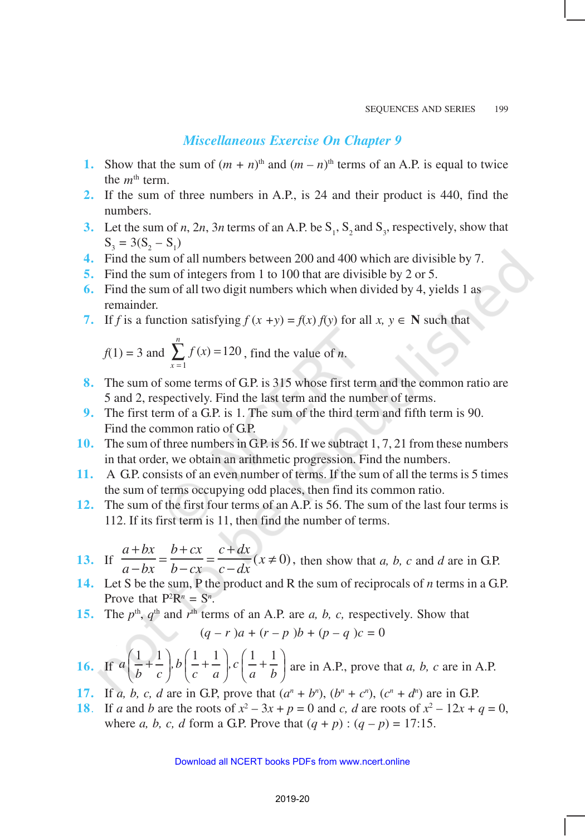### *Miscellaneous Exercise On Chapter 9*

- **1.** Show that the sum of  $(m + n)$ <sup>th</sup> and  $(m n)$ <sup>th</sup> terms of an A.P. is equal to twice the *m*th term.
- **2.** If the sum of three numbers in A.P., is 24 and their product is 440, find the numbers.
- **3.** Let the sum of *n*, 2*n*, 3*n* terms of an A.P. be  $S_1$ ,  $S_2$  and  $S_3$ , respectively, show that  $S_3 = 3(S_2 - S_1)$
- **4.** Find the sum of all numbers between 200 and 400 which are divisible by 7.
- **5.** Find the sum of integers from 1 to 100 that are divisible by 2 or 5.
- **6.** Find the sum of all two digit numbers which when divided by 4, yields 1 as remainder.
- **7.** If *f* is a function satisfying  $f(x + y) = f(x) f(y)$  for all  $x, y \in \mathbb{N}$  such that

$$
f(1) = 3
$$
 and 
$$
\sum_{x=1}^{n} f(x) = 120
$$
, find the value of *n*.

- **8.** The sum of some terms of G.P. is 315 whose first term and the common ratio are 5 and 2, respectively. Find the last term and the number of terms.
- **9.** The first term of a G.P. is 1. The sum of the third term and fifth term is 90. Find the common ratio of GP.
- **10.** The sum of three numbers in G.P. is 56. If we subtract 1, 7, 21 from these numbers in that order, we obtain an arithmetic progression. Find the numbers.
- **11.** A G.P. consists of an even number of terms. If the sum of all the terms is 5 times the sum of terms occupying odd places, then find its common ratio.
- **12.** The sum of the first four terms of an A.P. is 56. The sum of the last four terms is 112. If its first term is 11, then find the number of terms.
- **13.** If *a bx a bx b cx*  $b - cx$ *c dx*  $\frac{c - dx}{c - dx}$ + − = + − = +  $\frac{d}{dx}(x \neq 0)$ , then show that *a, b, c* and *d* are in G.P.
- **14.** Let S be the sum, P the product and R the sum of reciprocals of *n* terms in a G.P. Prove that  $P^2R^n = S^n$ .
- **15.** The  $p^{\text{th}}$ ,  $q^{\text{th}}$  and  $r^{\text{th}}$  terms of an A.P. are *a*, *b*, *c*, respectively. Show that

$$
(q - r)a + (r - p) b + (p - q) c = 0
$$

**16.** If 
$$
a\left(\frac{1}{b} + \frac{1}{c}\right), b\left(\frac{1}{c} + \frac{1}{a}\right), c\left(\frac{1}{a} + \frac{1}{b}\right)
$$
 are in A.P., prove that *a*, *b*, *c* are in A.P.

- **17.** If *a*, *b*, *c*, *d* are in G.P, prove that  $(a^n + b^n)$ ,  $(b^n + c^n)$ ,  $(c^n + d^n)$  are in G.P.
- **18**. If *a* and *b* are the roots of  $x^2 3x + p = 0$  and *c*, *d* are roots of  $x^2 12x + q = 0$ , where *a*, *b*, *c*, *d* form a G.P. Prove that  $(q + p)$ :  $(q - p) = 17:15$ .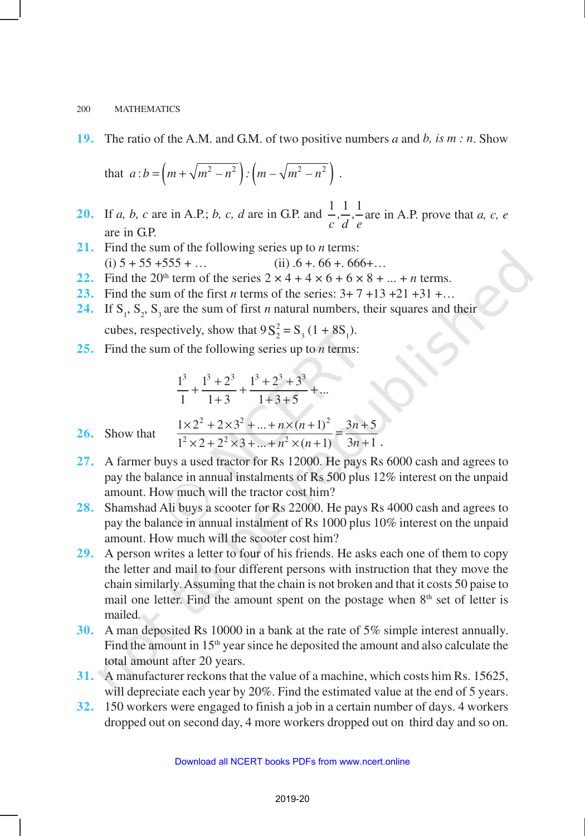**19.** The ratio of the A.M. and G.M. of two positive numbers *a* and *b, is m : n*. Show

that 
$$
a:b = \left(m + \sqrt{m^2 - n^2}\right) : \left(m - \sqrt{m^2 - n^2}\right)
$$
.

- **20.** If *a, b, c* are in A.P.; *b, c, d* are in G.P. and  $\frac{1}{\cdot}$ ,  $\frac{1}{\cdot}$ *c d e* are in A.P. prove that *a, c, e* are in GP.
- **21.** Find the sum of the following series up to *n* terms: (i)  $5 + 55 + 555 + ...$  (ii)  $.6 + .66 + .666 + ...$
- **22.** Find the 20<sup>th</sup> term of the series  $2 \times 4 + 4 \times 6 + 6 \times 8 + ... + n$  terms.
- **23.** Find the sum of the first *n* terms of the series: 3+ 7 +13 +21 +31 +…
- **24.** If  $S_1$ ,  $S_2$ ,  $S_3$  are the sum of first *n* natural numbers, their squares and their cubes, respectively, show that  $9S_2^2 = S_3 (1 + 8S_1)$ .
- **25.** Find the sum of the following series up to *n* terms:

$$
\frac{1^3}{1} + \frac{1^3 + 2^3}{1 + 3} + \frac{1^3 + 2^3 + 3^3}{1 + 3 + 5} + \dots
$$

26. Show that 
$$
\frac{1 \times 2^2 + 2 \times 3^2 + ... + n \times (n+1)^2}{1^2 \times 2 + 2^2 \times 3 + ... + n^2 \times (n+1)} = \frac{3n+5}{3n+1}.
$$

- **27.** A farmer buys a used tractor for Rs 12000. He pays Rs 6000 cash and agrees to pay the balance in annual instalments of Rs 500 plus 12% interest on the unpaid amount. How much will the tractor cost him?
- **28.** Shamshad Ali buys a scooter for Rs 22000. He pays Rs 4000 cash and agrees to pay the balance in annual instalment of Rs 1000 plus 10% interest on the unpaid amount. How much will the scooter cost him?
- **29.** A person writes a letter to four of his friends. He asks each one of them to copy the letter and mail to four different persons with instruction that they move the chain similarly. Assuming that the chain is not broken and that it costs 50 paise to mail one letter. Find the amount spent on the postage when 8<sup>th</sup> set of letter is mailed.
- **30.** A man deposited Rs 10000 in a bank at the rate of 5% simple interest annually. Find the amount in 15<sup>th</sup> year since he deposited the amount and also calculate the total amount after 20 years.
- **31.** A manufacturer reckons that the value of a machine, which costs him Rs. 15625, will depreciate each year by 20%. Find the estimated value at the end of 5 years.
- **32.** 150 workers were engaged to finish a job in a certain number of days. 4 workers dropped out on second day, 4 more workers dropped out on third day and so on.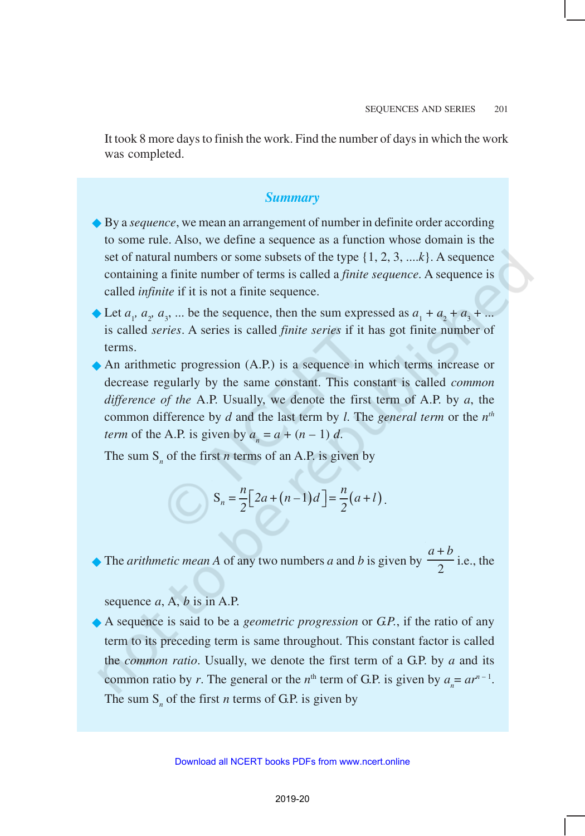It took 8 more days to finish the work. Find the number of days in which the work was completed.

### *Summary*

- **◆** By a *sequence*, we mean an arrangement of number in definite order according to some rule. Also, we define a sequence as a function whose domain is the set of natural numbers or some subsets of the type {1, 2, 3, ....*k*}. A sequence containing a finite number of terms is called a *finite sequence*. A sequence is called *infinite* if it is not a finite sequence.
- External  $a_1, a_2, a_3, \ldots$  be the sequence, then the sum expressed as  $a_1 + a_2 + a_3 + \ldots$ is called *series*. A series is called *finite series* if it has got finite number of terms.
- ®An arithmetic progression (A.P.) is a sequence in which terms increase or decrease regularly by the same constant. This constant is called *common difference of the* A.P. Usually, we denote the first term of A.P. by *a*, the common difference by *d* and the last term by *l*. The *general term* or the *n th term* of the A.P. is given by  $a_n = a + (n-1)d$ .

The sum  $S_n$  of the first *n* terms of an A.P. is given by

$$
\bigg| S_n = \frac{n}{2} \bigg[ 2a + (n-1)d \bigg] = \frac{n}{2} (a+l).
$$

The *arithmetic mean* A of any two numbers *a* and *b* is given by  $\frac{a+b}{2}$ i.e., the

sequence *a*, A, *b* is in A.P.

®A sequence is said to be a *geometric progression* or *G.P.*, if the ratio of any term to its preceding term is same throughout. This constant factor is called the *common ratio*. Usually, we denote the first term of a G.P. by *a* and its common ratio by *r*. The general or the *n*<sup>th</sup> term of G.P. is given by  $a_n = ar^{n-1}$ . The sum  $S_n$  of the first *n* terms of G.P. is given by